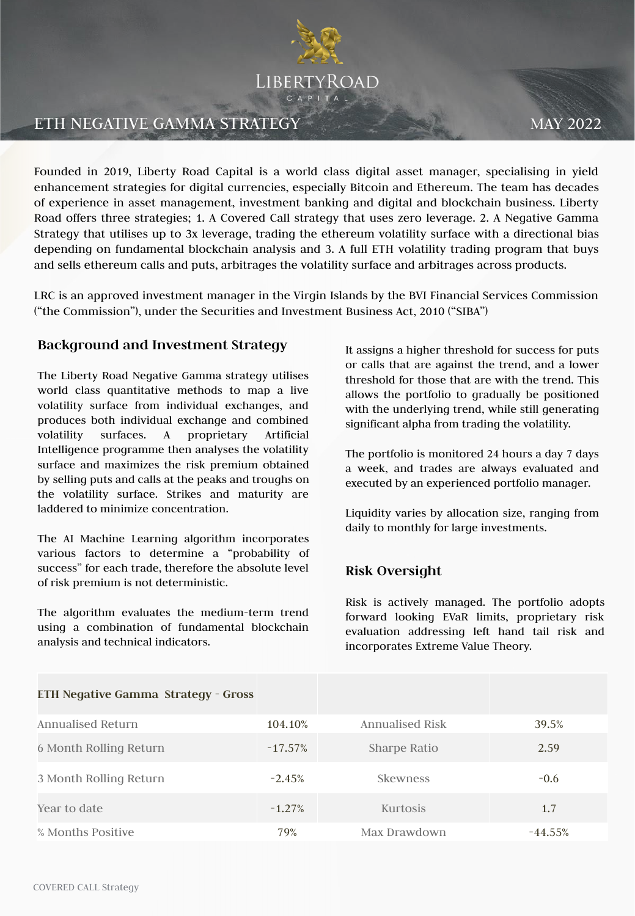

# ETH NEGATIVE GAMMA STRATEGY MAY 2022

Founded in 2019, Liberty Road Capital is a world class digital asset manager, specialising in yield enhancement strategies for digital currencies, especially Bitcoin and Ethereum. The team has decades of experience in asset management, investment banking and digital and blockchain business. Liberty Road offers three strategies; 1. A Covered Call strategy that uses zero leverage. 2. A Negative Gamma Strategy that utilises up to 3x leverage, trading the ethereum volatility surface with a directional bias depending on fundamental blockchain analysis and 3. A full ETH volatility trading program that buys and sells ethereum calls and puts, arbitrages the volatility surface and arbitrages across products.

LRC is an approved investment manager in the Virgin Islands by the BVI Financial Services Commission ("the Commission"), under the Securities and Investment Business Act, 2010 ("SIBA")

#### **Background and Investment Strategy**

The Liberty Road Negative Gamma strategy utilises world class quantitative methods to map a live volatility surface from individual exchanges, and produces both individual exchange and combined volatility surfaces. A proprietary Artificial Intelligence programme then analyses the volatility surface and maximizes the risk premium obtained by selling puts and calls at the peaks and troughs on the volatility surface. Strikes and maturity are laddered to minimize concentration.

The AI Machine Learning algorithm incorporates various factors to determine a "probability of success" for each trade, therefore the absolute level of risk premium is not deterministic.

The algorithm evaluates the medium-term trend using a combination of fundamental blockchain analysis and technical indicators.

It assigns a higher threshold for success for puts or calls that are against the trend, and a lower threshold for those that are with the trend. This allows the portfolio to gradually be positioned with the underlying trend, while still generating significant alpha from trading the volatility.

The portfolio is monitored 24 hours a day 7 days a week, and trades are always evaluated and executed by an experienced portfolio manager.

Liquidity varies by allocation size, ranging from daily to monthly for large investments.

### **Risk Oversight**

Risk is actively managed. The portfolio adopts forward looking EVaR limits, proprietary risk evaluation addressing left hand tail risk and incorporates Extreme Value Theory.

| ETH Negative Gamma Strategy - Gross |            |                 |            |
|-------------------------------------|------------|-----------------|------------|
| Annualised Return                   | 104.10%    | Annualised Risk | 39.5%      |
| 6 Month Rolling Return              | $-17.57\%$ | Sharpe Ratio    | 2.59       |
| 3 Month Rolling Return              | $-2.45%$   | Skewness        | $-0.6$     |
| Year to date                        | $-1.27%$   | <b>Kurtosis</b> | 1.7        |
| % Months Positive                   | 79%        | Max Drawdown    | $-44.55\%$ |